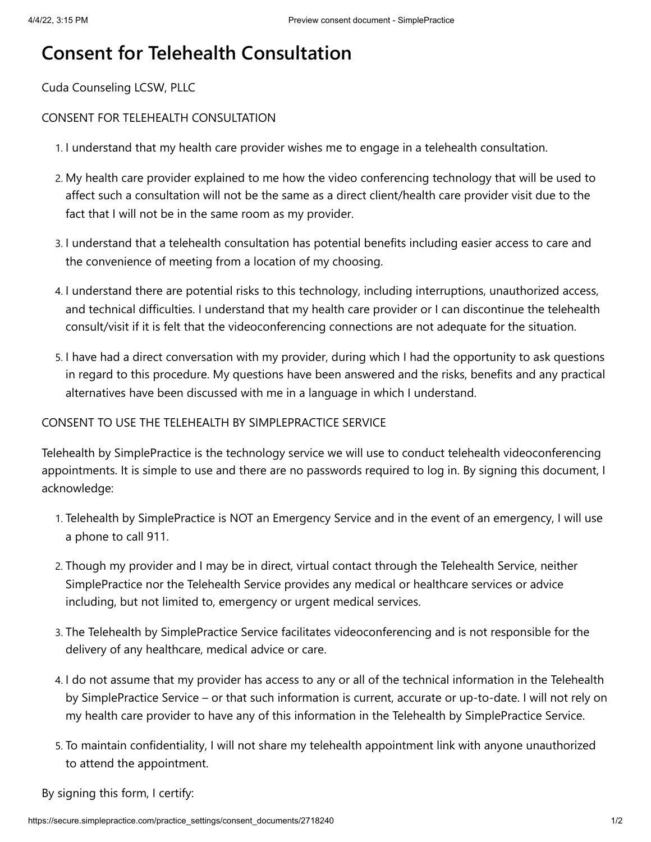## **Consent for Telehealth Consultation**

Cuda Counseling LCSW, PLLC

## CONSENT FOR TELEHEALTH CONSULTATION

- 1. I understand that my health care provider wishes me to engage in a telehealth consultation.
- 2. My health care provider explained to me how the video conferencing technology that will be used to affect such a consultation will not be the same as a direct client/health care provider visit due to the fact that I will not be in the same room as my provider.
- 3. I understand that a telehealth consultation has potential benefits including easier access to care and the convenience of meeting from a location of my choosing.
- 4. I understand there are potential risks to this technology, including interruptions, unauthorized access, and technical difficulties. I understand that my health care provider or I can discontinue the telehealth consult/visit if it is felt that the videoconferencing connections are not adequate for the situation.
- 5. I have had a direct conversation with my provider, during which I had the opportunity to ask questions in regard to this procedure. My questions have been answered and the risks, benefits and any practical alternatives have been discussed with me in a language in which I understand.

## CONSENT TO USE THE TELEHEALTH BY SIMPLEPRACTICE SERVICE

Telehealth by SimplePractice is the technology service we will use to conduct telehealth videoconferencing appointments. It is simple to use and there are no passwords required to log in. By signing this document, I acknowledge:

- 1. Telehealth by SimplePractice is NOT an Emergency Service and in the event of an emergency, I will use a phone to call 911.
- 2. Though my provider and I may be in direct, virtual contact through the Telehealth Service, neither SimplePractice nor the Telehealth Service provides any medical or healthcare services or advice including, but not limited to, emergency or urgent medical services.
- 3. The Telehealth by SimplePractice Service facilitates videoconferencing and is not responsible for the delivery of any healthcare, medical advice or care.
- 4. I do not assume that my provider has access to any or all of the technical information in the Telehealth by SimplePractice Service – or that such information is current, accurate or up-to-date. I will not rely on my health care provider to have any of this information in the Telehealth by SimplePractice Service.
- 5. To maintain confidentiality, I will not share my telehealth appointment link with anyone unauthorized to attend the appointment.

By signing this form, I certify: